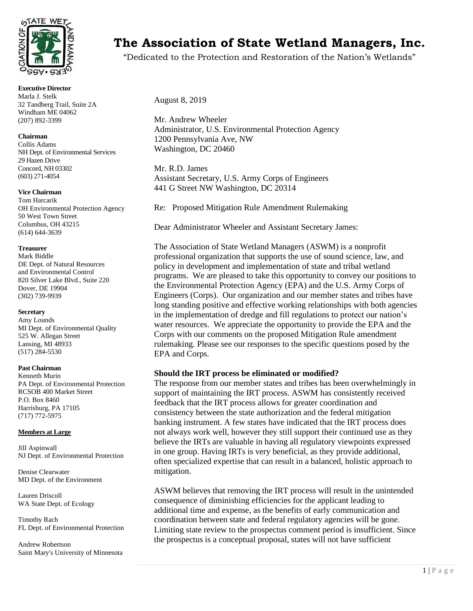

**Executive Director** Marla J. Stelk 32 Tandberg Trail, Suite 2A Windham ME 04062 (207) 892-3399

#### **Chairman**

Collis Adams NH Dept. of Environmental Services 29 Hazen Drive Concord, NH 03302 (603) 271-4054

#### **Vice Chairman**

Tom Harcarik OH Environmental Protection Agency 50 West Town Street Columbus, OH 43215 (614) 644-3639

#### **Treasurer**

Mark Biddle DE Dept. of Natural Resources and Environmental Control 820 Silver Lake Blvd., Suite 220 Dover, DE 19904 (302) 739-9939

#### **Secretary**

Amy Lounds MI Dept. of Environmental Quality 525 W. Allegan Street Lansing, MI 48933 (517) 284-5530

#### **Past Chairman**

Kenneth Murin PA Dept. of Environmental Protection RCSOB 400 Market Street P.O. Box 8460 Harrisburg, PA 17105 (717) 772-5975

#### **Members at Large**

Jill Aspinwall NJ Dept. of Environmental Protection

Denise Clearwater MD Dept. of the Environment

Lauren Driscoll WA State Dept. of Ecology

Timothy Rach FL Dept. of Environmental Protection

Andrew Robertson Saint Mary's University of Minnesota

# **The Association of State Wetland Managers, Inc.**

"Dedicated to the Protection and Restoration of the Nation's Wetlands"

August 8, 2019

Mr. Andrew Wheeler Administrator, U.S. Environmental Protection Agency 1200 Pennsylvania Ave, NW Washington, DC 20460

Mr. R.D. James Assistant Secretary, U.S. Army Corps of Engineers 441 G Street NW Washington, DC 20314

Re: Proposed Mitigation Rule Amendment Rulemaking

Dear Administrator Wheeler and Assistant Secretary James:

The Association of State Wetland Managers (ASWM) is a nonprofit professional organization that supports the use of sound science, law, and policy in development and implementation of state and tribal wetland programs. We are pleased to take this opportunity to convey our positions to the Environmental Protection Agency (EPA) and the U.S. Army Corps of Engineers (Corps). Our organization and our member states and tribes have long standing positive and effective working relationships with both agencies in the implementation of dredge and fill regulations to protect our nation's water resources. We appreciate the opportunity to provide the EPA and the Corps with our comments on the proposed Mitigation Rule amendment rulemaking. Please see our responses to the specific questions posed by the EPA and Corps.

## **Should the IRT process be eliminated or modified?**

The response from our member states and tribes has been overwhelmingly in support of maintaining the IRT process. ASWM has consistently received feedback that the IRT process allows for greater coordination and consistency between the state authorization and the federal mitigation banking instrument. A few states have indicated that the IRT process does not always work well, however they still support their continued use as they believe the IRTs are valuable in having all regulatory viewpoints expressed in one group. Having IRTs is very beneficial, as they provide additional, often specialized expertise that can result in a balanced, holistic approach to mitigation.

ASWM believes that removing the IRT process will result in the unintended consequence of diminishing efficiencies for the applicant leading to additional time and expense, as the benefits of early communication and coordination between state and federal regulatory agencies will be gone. Limiting state review to the prospectus comment period is insufficient. Since the prospectus is a conceptual proposal, states will not have sufficient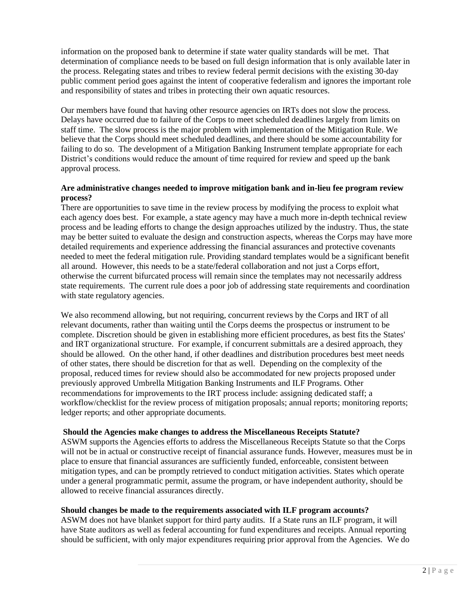information on the proposed bank to determine if state water quality standards will be met. That determination of compliance needs to be based on full design information that is only available later in the process. Relegating states and tribes to review federal permit decisions with the existing 30-day public comment period goes against the intent of cooperative federalism and ignores the important role and responsibility of states and tribes in protecting their own aquatic resources.

Our members have found that having other resource agencies on IRTs does not slow the process. Delays have occurred due to failure of the Corps to meet scheduled deadlines largely from limits on staff time. The slow process is the major problem with implementation of the Mitigation Rule. We believe that the Corps should meet scheduled deadlines, and there should be some accountability for failing to do so. The development of a Mitigation Banking Instrument template appropriate for each District's conditions would reduce the amount of time required for review and speed up the bank approval process.

## **Are administrative changes needed to improve mitigation bank and in-lieu fee program review process?**

There are opportunities to save time in the review process by modifying the process to exploit what each agency does best. For example, a state agency may have a much more in-depth technical review process and be leading efforts to change the design approaches utilized by the industry. Thus, the state may be better suited to evaluate the design and construction aspects, whereas the Corps may have more detailed requirements and experience addressing the financial assurances and protective covenants needed to meet the federal mitigation rule. Providing standard templates would be a significant benefit all around. However, this needs to be a state/federal collaboration and not just a Corps effort, otherwise the current bifurcated process will remain since the templates may not necessarily address state requirements. The current rule does a poor job of addressing state requirements and coordination with state regulatory agencies.

We also recommend allowing, but not requiring, concurrent reviews by the Corps and IRT of all relevant documents, rather than waiting until the Corps deems the prospectus or instrument to be complete. Discretion should be given in establishing more efficient procedures, as best fits the States' and IRT organizational structure. For example, if concurrent submittals are a desired approach, they should be allowed. On the other hand, if other deadlines and distribution procedures best meet needs of other states, there should be discretion for that as well. Depending on the complexity of the proposal, reduced times for review should also be accommodated for new projects proposed under previously approved Umbrella Mitigation Banking Instruments and ILF Programs. Other recommendations for improvements to the IRT process include: assigning dedicated staff; a workflow/checklist for the review process of mitigation proposals; annual reports; monitoring reports; ledger reports; and other appropriate documents.

## **Should the Agencies make changes to address the Miscellaneous Receipts Statute?**

ASWM supports the Agencies efforts to address the Miscellaneous Receipts Statute so that the Corps will not be in actual or constructive receipt of financial assurance funds. However, measures must be in place to ensure that financial assurances are sufficiently funded, enforceable, consistent between mitigation types, and can be promptly retrieved to conduct mitigation activities. States which operate under a general programmatic permit, assume the program, or have independent authority, should be allowed to receive financial assurances directly.

## **Should changes be made to the requirements associated with ILF program accounts?**

ASWM does not have blanket support for third party audits. If a State runs an ILF program, it will have State auditors as well as federal accounting for fund expenditures and receipts. Annual reporting should be sufficient, with only major expenditures requiring prior approval from the Agencies. We do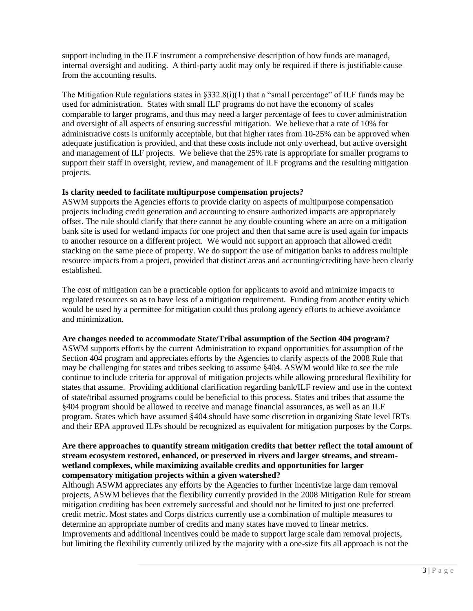support including in the ILF instrument a comprehensive description of how funds are managed, internal oversight and auditing. A third-party audit may only be required if there is justifiable cause from the accounting results.

The Mitigation Rule regulations states in  $\S 332.8(i)(1)$  that a "small percentage" of ILF funds may be used for administration. States with small ILF programs do not have the economy of scales comparable to larger programs, and thus may need a larger percentage of fees to cover administration and oversight of all aspects of ensuring successful mitigation. We believe that a rate of 10% for administrative costs is uniformly acceptable, but that higher rates from 10-25% can be approved when adequate justification is provided, and that these costs include not only overhead, but active oversight and management of ILF projects. We believe that the 25% rate is appropriate for smaller programs to support their staff in oversight, review, and management of ILF programs and the resulting mitigation projects.

# **Is clarity needed to facilitate multipurpose compensation projects?**

ASWM supports the Agencies efforts to provide clarity on aspects of multipurpose compensation projects including credit generation and accounting to ensure authorized impacts are appropriately offset. The rule should clarify that there cannot be any double counting where an acre on a mitigation bank site is used for wetland impacts for one project and then that same acre is used again for impacts to another resource on a different project. We would not support an approach that allowed credit stacking on the same piece of property. We do support the use of mitigation banks to address multiple resource impacts from a project, provided that distinct areas and accounting/crediting have been clearly established.

The cost of mitigation can be a practicable option for applicants to avoid and minimize impacts to regulated resources so as to have less of a mitigation requirement. Funding from another entity which would be used by a permittee for mitigation could thus prolong agency efforts to achieve avoidance and minimization.

## **Are changes needed to accommodate State/Tribal assumption of the Section 404 program?**

ASWM supports efforts by the current Administration to expand opportunities for assumption of the Section 404 program and appreciates efforts by the Agencies to clarify aspects of the 2008 Rule that may be challenging for states and tribes seeking to assume §404. ASWM would like to see the rule continue to include criteria for approval of mitigation projects while allowing procedural flexibility for states that assume. Providing additional clarification regarding bank/ILF review and use in the context of state/tribal assumed programs could be beneficial to this process. States and tribes that assume the §404 program should be allowed to receive and manage financial assurances, as well as an ILF program. States which have assumed §404 should have some discretion in organizing State level IRTs and their EPA approved ILFs should be recognized as equivalent for mitigation purposes by the Corps.

## **Are there approaches to quantify stream mitigation credits that better reflect the total amount of stream ecosystem restored, enhanced, or preserved in rivers and larger streams, and streamwetland complexes, while maximizing available credits and opportunities for larger compensatory mitigation projects within a given watershed?**

Although ASWM appreciates any efforts by the Agencies to further incentivize large dam removal projects, ASWM believes that the flexibility currently provided in the 2008 Mitigation Rule for stream mitigation crediting has been extremely successful and should not be limited to just one preferred credit metric. Most states and Corps districts currently use a combination of multiple measures to determine an appropriate number of credits and many states have moved to linear metrics. Improvements and additional incentives could be made to support large scale dam removal projects, but limiting the flexibility currently utilized by the majority with a one-size fits all approach is not the